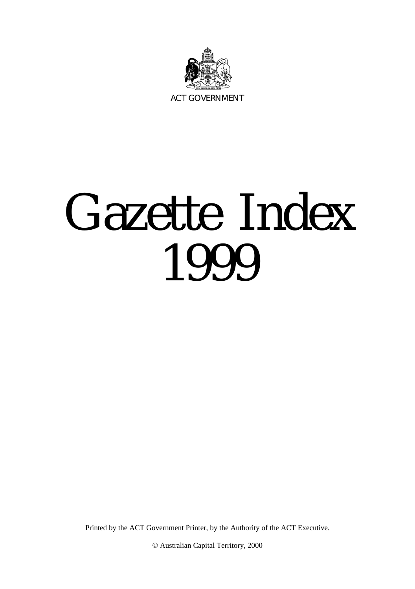

## Gazette Index 1999

Printed by the ACT Government Printer, by the Authority of the ACT Executive.

© Australian Capital Territory, 2000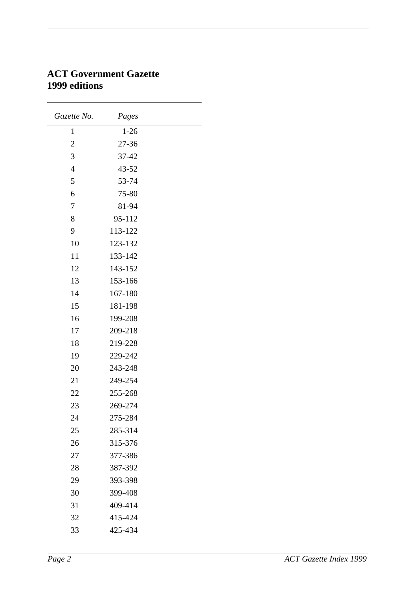| Gazette No.    | Pages    |  |
|----------------|----------|--|
| 1              | $1 - 26$ |  |
| 2              | 27-36    |  |
| 3              | 37-42    |  |
| $\overline{4}$ | 43-52    |  |
| 5              | 53-74    |  |
| 6              | 75-80    |  |
| $\overline{7}$ | 81-94    |  |
| 8              | 95-112   |  |
| 9              | 113-122  |  |
| 10             | 123-132  |  |
| 11             | 133-142  |  |
| 12             | 143-152  |  |
| 13             | 153-166  |  |
| 14             | 167-180  |  |
| 15             | 181-198  |  |
| 16             | 199-208  |  |
| 17             | 209-218  |  |
| 18             | 219-228  |  |
| 19             | 229-242  |  |
| 20             | 243-248  |  |
| 21             | 249-254  |  |
| 22             | 255-268  |  |
| 23             | 269-274  |  |
| 24             | 275-284  |  |
| 25             | 285-314  |  |
| 26             | 315-376  |  |
| 27             | 377-386  |  |
| 28             | 387-392  |  |
| 29             | 393-398  |  |
| 30             | 399-408  |  |
| 31             | 409-414  |  |
| 32             | 415-424  |  |
| 33             | 425-434  |  |

## **ACT Government Gazette 1999 editions**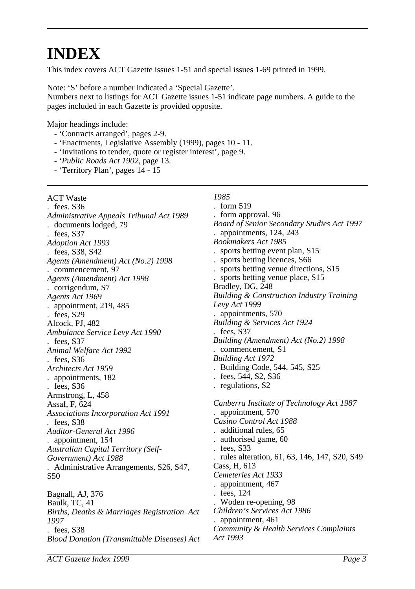## **INDEX**

This index covers ACT Gazette issues 1-51 and special issues 1-69 printed in 1999.

Note: 'S' before a number indicated a 'Special Gazette'.

Numbers next to listings for ACT Gazette issues 1-51 indicate page numbers. A guide to the pages included in each Gazette is provided opposite.

Major headings include:

- 'Contracts arranged', pages 2-9.
- 'Enactments, Legislative Assembly (1999), pages 10 11.
- 'Invitations to tender, quote or register interest', page 9.
- '*Public Roads Act 1902*, page 13.
- 'Territory Plan', pages 14 15

| <b>ACT Waste</b>                                   | 1985                                                 |
|----------------------------------------------------|------------------------------------------------------|
| $t$ fees. $S36$                                    | . form $519$                                         |
| Administrative Appeals Tribunal Act 1989           | form approval, 96                                    |
| . documents lodged, 79                             | Board of Senior Secondary Studies Act 1997           |
| $t$ fees, S37                                      | . appointments, 124, 243                             |
| Adoption Act 1993                                  | <b>Bookmakers Act 1985</b>                           |
| . fees, S38, S42                                   | sports betting event plan, S15                       |
| Agents (Amendment) Act (No.2) 1998                 | . sports betting licences, S66                       |
| . commencement, 97                                 | sports betting venue directions, S15                 |
| Agents (Amendment) Act 1998                        | sports betting venue place, S15                      |
| . corrigendum, S7                                  | Bradley, DG, 248                                     |
| Agents Act 1969                                    | <b>Building &amp; Construction Industry Training</b> |
| . appointment, $219,485$                           | Levy Act 1999                                        |
| $t$ fees, $S29$                                    | . appointments, 570                                  |
| Alcock, PJ, 482                                    | Building & Services Act 1924                         |
| Ambulance Service Levy Act 1990                    | $t$ fees, S37                                        |
| $t$ fees, S37                                      | Building (Amendment) Act (No.2) 1998                 |
| Animal Welfare Act 1992                            | . commencement, S1                                   |
| $.$ fees, S36                                      | <b>Building Act 1972</b>                             |
| Architects Act 1959                                | . Building Code, 544, 545, S25                       |
| . appointments, 182                                | $t$ fees, 544, S2, S36                               |
| $t$ fees, S36                                      | . regulations, S2                                    |
| Armstrong, L, 458                                  |                                                      |
| Assaf, F, 624                                      | Canberra Institute of Technology Act 1987            |
| Associations Incorporation Act 1991                | appointment, 570                                     |
| $t$ fees, S38                                      | Casino Control Act 1988                              |
| Auditor-General Act 1996                           | additional rules, 65                                 |
| . appointment, 154                                 | authorised game, 60                                  |
| <b>Australian Capital Territory (Self-</b>         | $t$ fees, S33                                        |
| Government) Act 1988                               | rules alteration, 61, 63, 146, 147, S20, S49         |
| . Administrative Arrangements, S26, S47,           | Cass, H, 613                                         |
| S50                                                | Cemeteries Act 1933                                  |
|                                                    | . appointment, 467                                   |
| Bagnall, AJ, 376                                   | . fees, 124                                          |
| Baulk, TC, 41                                      | Woden re-opening, 98                                 |
| Births, Deaths & Marriages Registration Act        | Children's Services Act 1986                         |
| 1997                                               | . appointment, 461                                   |
| $t$ fees, S38                                      | Community & Health Services Complaints               |
| <b>Blood Donation (Transmittable Diseases) Act</b> | Act 1993                                             |
|                                                    |                                                      |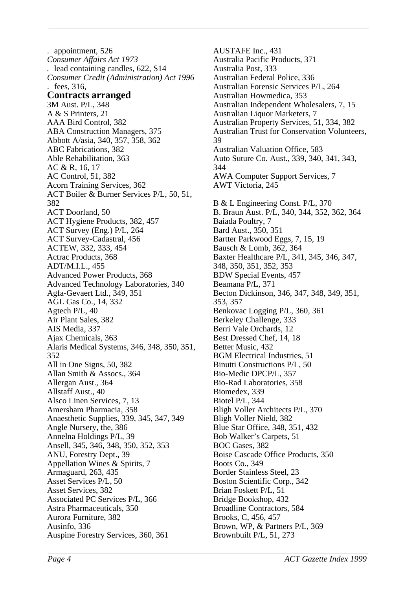. appointment, 526 *Consumer Affairs Act 1973 .* lead containing candles, 622, S14 *Consumer Credit (Administration) Act 1996* . fees, 316, **Contracts arranged** 3M Aust. P/L, 348 A & S Printers, 21 AAA Bird Control, 382 ABA Construction Managers, 375 Abbott A/asia, 340, 357, 358, 362 ABC Fabrications, 382 Able Rehabilitation, 363 AC & R, 16, 17 AC Control, 51, 382 Acorn Training Services, 362 ACT Boiler & Burner Services P/L, 50, 51, 382 ACT Doorland, 50 ACT Hygiene Products, 382, 457 ACT Survey (Eng.) P/L, 264 ACT Survey-Cadastral, 456 ACTEW, 332, 333, 454 Actrac Products, 368 ADT/M.I.L., 455 Advanced Power Products, 368 Advanced Technology Laboratories, 340 Agfa-Gevaert Ltd., 349, 351 AGL Gas Co., 14, 332 Agtech P/L, 40 Air Plant Sales, 382 AIS Media, 337 Ajax Chemicals, 363 Alaris Medical Systems, 346, 348, 350, 351, 352 All in One Signs, 50, 382 Allan Smith & Assocs., 364 Allergan Aust., 364 Allstaff Aust., 40 Alsco Linen Services, 7, 13 Amersham Pharmacia, 358 Anaesthetic Supplies, 339, 345, 347, 349 Angle Nursery, the, 386 Annelna Holdings P/L, 39 Ansell, 345, 346, 348, 350, 352, 353 ANU, Forestry Dept., 39 Appellation Wines & Spirits, 7 Armaguard, 263, 435 Asset Services P/L, 50 Asset Services, 382 Associated PC Services P/L, 366 Astra Pharmaceuticals, 350 Aurora Furniture, 382 Ausinfo, 336 Auspine Forestry Services, 360, 361

AUSTAFE Inc., 431 Australia Pacific Products, 371 Australia Post, 333 Australian Federal Police, 336 Australian Forensic Services P/L, 264 Australian Howmedica, 353 Australian Independent Wholesalers, 7, 15 Australian Liquor Marketers, 7 Australian Property Services, 51, 334, 382 Australian Trust for Conservation Volunteers, 39 Australian Valuation Office, 583 Auto Suture Co. Aust., 339, 340, 341, 343, 344 AWA Computer Support Services, 7 AWT Victoria, 245 B & L Engineering Const. P/L, 370 B. Braun Aust. P/L, 340, 344, 352, 362, 364 Baiada Poultry, 7 Bard Aust., 350, 351 Bartter Parkwood Eggs, 7, 15, 19 Bausch & Lomb, 362, 364 Baxter Healthcare P/L, 341, 345, 346, 347, 348, 350, 351, 352, 353 BDW Special Events, 457 Beamana P/L, 371 Becton Dickinson, 346, 347, 348, 349, 351, 353, 357 Benkovac Logging P/L, 360, 361 Berkeley Challenge, 333 Berri Vale Orchards, 12 Best Dressed Chef, 14, 18 Better Music, 432 BGM Electrical Industries, 51 Binutti Constructions P/L, 50 Bio-Medic DPCP/L, 357 Bio-Rad Laboratories, 358 Biomedex, 339 Biotel P/L, 344 Bligh Voller Architects P/L, 370 Bligh Voller Nield, 382 Blue Star Office, 348, 351, 432 Bob Walker's Carpets, 51 BOC Gases, 382 Boise Cascade Office Products, 350 Boots Co., 349 Border Stainless Steel, 23 Boston Scientific Corp., 342 Brian Foskett P/L, 51 Bridge Bookshop, 432 Broadline Contractors, 584 Brooks, C, 456, 457 Brown, WP, & Partners P/L, 369 Brownbuilt P/L, 51, 273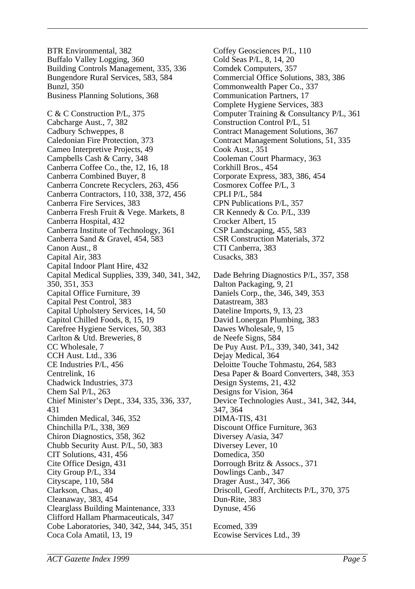BTR Environmental, 382 Buffalo Valley Logging, 360 Building Controls Management, 335, 336 Bungendore Rural Services, 583, 584 Bunzl, 350 Business Planning Solutions, 368 C & C Construction P/L, 375 Cabcharge Aust., 7, 382 Cadbury Schweppes, 8 Caledonian Fire Protection, 373 Cameo Interpretive Projects, 49 Campbells Cash & Carry, 348 Canberra Coffee Co., the, 12, 16, 18 Canberra Combined Buyer, 8 Canberra Concrete Recyclers, 263, 456 Canberra Contractors, 110, 338, 372, 456 Canberra Fire Services, 383 Canberra Fresh Fruit & Vege. Markets, 8 Canberra Hospital, 432 Canberra Institute of Technology, 361 Canberra Sand & Gravel, 454, 583 Canon Aust., 8 Capital Air, 383 Capital Indoor Plant Hire, 432 Capital Medical Supplies, 339, 340, 341, 342, 350, 351, 353 Capital Office Furniture, 39 Capital Pest Control, 383 Capital Upholstery Services, 14, 50 Capitol Chilled Foods, 8, 15, 19 Carefree Hygiene Services, 50, 383 Carlton & Utd. Breweries, 8 CC Wholesale, 7 CCH Aust. Ltd., 336 CE Industries P/L, 456 Centrelink, 16 Chadwick Industries, 373 Chem Sal P/L, 263 Chief Minister's Dept., 334, 335, 336, 337, 431 Chimden Medical, 346, 352 Chinchilla P/L, 338, 369 Chiron Diagnostics, 358, 362 Chubb Security Aust. P/L, 50, 383 CIT Solutions, 431, 456 Cite Office Design, 431 City Group P/L, 334 Cityscape, 110, 584 Clarkson, Chas., 40 Cleanaway, 383, 454 Clearglass Building Maintenance, 333 Clifford Hallam Pharmaceuticals, 347 Cobe Laboratories, 340, 342, 344, 345, 351 Coca Cola Amatil, 13, 19

Coffey Geosciences P/L, 110 Cold Seas P/L, 8, 14, 20 Comdek Computers, 357 Commercial Office Solutions, 383, 386 Commonwealth Paper Co., 337 Communication Partners, 17 Complete Hygiene Services, 383 Computer Training & Consultancy P/L, 361 Construction Control P/L, 51 Contract Management Solutions, 367 Contract Management Solutions, 51, 335 Cook Aust., 351 Cooleman Court Pharmacy, 363 Corkhill Bros., 454 Corporate Express, 383, 386, 454 Cosmorex Coffee P/L, 3 CPLI P/L, 584 CPN Publications P/L, 357 CR Kennedy & Co. P/L, 339 Crocker Albert, 15 CSP Landscaping, 455, 583 CSR Construction Materials, 372 CTI Canberra, 383 Cusacks, 383 Dade Behring Diagnostics P/L, 357, 358 Dalton Packaging, 9, 21 Daniels Corp., the, 346, 349, 353 Datastream, 383 Dateline Imports, 9, 13, 23 David Lonergan Plumbing, 383 Dawes Wholesale, 9, 15 de Neefe Signs, 584 De Puy Aust. P/L, 339, 340, 341, 342 Dejay Medical, 364 Deloitte Touche Tohmastu, 264, 583 Desa Paper & Board Converters, 348, 353 Design Systems, 21, 432 Designs for Vision, 364 Device Technologies Aust., 341, 342, 344, 347, 364 DIMA-TIS, 431 Discount Office Furniture, 363 Diversey A/asia, 347 Diversey Lever, 10 Domedica, 350 Dorrough Britz & Assocs., 371 Dowlings Canb., 347 Drager Aust., 347, 366 Driscoll, Geoff, Architects P/L, 370, 375 Dun-Rite, 383 Dynuse, 456 Ecomed, 339 Ecowise Services Ltd., 39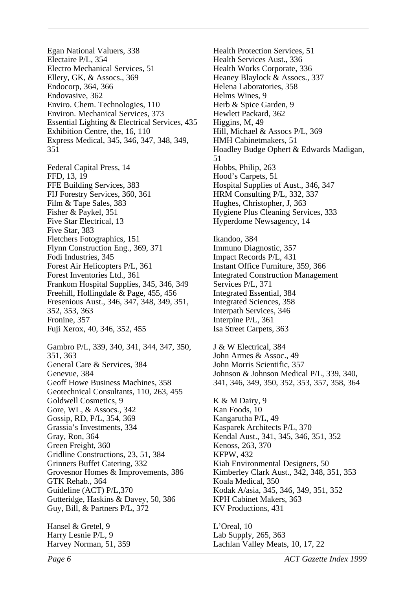Egan National Valuers, 338 Electaire P/L, 354 Electro Mechanical Services, 51 Ellery, GK, & Assocs., 369 Endocorp, 364, 366 Endovasive, 362 Enviro. Chem. Technologies, 110 Environ. Mechanical Services, 373 Essential Lighting & Electrical Services, 435 Exhibition Centre, the, 16, 110 Express Medical, 345, 346, 347, 348, 349, 351

Federal Capital Press, 14 FFD, 13, 19 FFE Building Services, 383 FIJ Forestry Services, 360, 361 Film & Tape Sales, 383 Fisher & Paykel, 351 Five Star Electrical, 13 Five Star, 383 Fletchers Fotographics, 151 Flynn Construction Eng., 369, 371 Fodi Industries, 345 Forest Air Helicopters P/L, 361 Forest Inventories Ltd., 361 Frankom Hospital Supplies, 345, 346, 349 Freehill, Hollingdale & Page, 455, 456 Fresenious Aust., 346, 347, 348, 349, 351, 352, 353, 363 Fronine, 357 Fuji Xerox, 40, 346, 352, 455

Gambro P/L, 339, 340, 341, 344, 347, 350, 351, 363 General Care & Services, 384 Genevue, 384 Geoff Howe Business Machines, 358 Geotechnical Consultants, 110, 263, 455 Goldwell Cosmetics, 9 Gore, WL, & Assocs., 342 Gossip, RD, P/L, 354, 369 Grassia's Investments, 334 Gray, Ron, 364 Green Freight, 360 Gridline Constructions, 23, 51, 384 Grinners Buffet Catering, 332 Grovesnor Homes & Improvements, 386 GTK Rehab., 364 Guideline (ACT) P/L,370 Gutteridge, Haskins & Davey, 50, 386 Guy, Bill, & Partners P/L, 372

Hansel & Gretel, 9 Harry Lesnie P/L, 9 Harvey Norman, 51, 359 Health Protection Services, 51 Health Services Aust., 336 Health Works Corporate, 336 Heaney Blaylock & Assocs., 337 Helena Laboratories, 358 Helms Wines, 9 Herb & Spice Garden, 9 Hewlett Packard, 362 Higgins, M, 49 Hill, Michael & Assocs P/L, 369 HMH Cabinetmakers, 51 Hoadley Budge Ophert & Edwards Madigan, 51 Hobbs, Philip, 263 Hood's Carpets, 51 Hospital Supplies of Aust., 346, 347 HRM Consulting P/L, 332, 337 Hughes, Christopher, J, 363 Hygiene Plus Cleaning Services, 333 Hyperdome Newsagency, 14

Ikandoo, 384 Immuno Diagnostic, 357 Impact Records P/L, 431 Instant Office Furniture, 359, 366 Integrated Construction Management Services P/L, 371 Integrated Essential, 384 Integrated Sciences, 358 Interpath Services, 346 Interpine P/L, 361 Isa Street Carpets, 363

J & W Electrical, 384 John Armes & Assoc., 49 John Morris Scientific, 357 Johnson & Johnson Medical P/L, 339, 340, 341, 346, 349, 350, 352, 353, 357, 358, 364

K & M Dairy, 9 Kan Foods, 10 Kangarutha P/L, 49 Kasparek Architects P/L, 370 Kendal Aust., 341, 345, 346, 351, 352 Kenoss, 263, 370 KFPW, 432 Kiah Environmental Designers, 50 Kimberley Clark Aust., 342, 348, 351, 353 Koala Medical, 350 Kodak A/asia, 345, 346, 349, 351, 352 KPH Cabinet Makers, 363 KV Productions, 431

L'Oreal, 10 Lab Supply, 265, 363 Lachlan Valley Meats, 10, 17, 22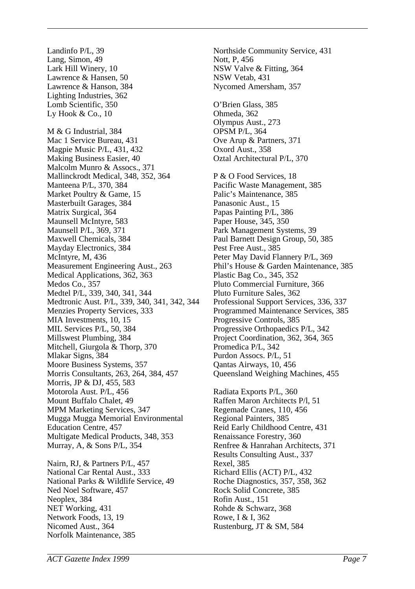Landinfo P/L, 39 Lang, Simon, 49 Lark Hill Winery, 10 Lawrence & Hansen, 50 Lawrence & Hanson, 384 Lighting Industries, 362 Lomb Scientific, 350 Ly Hook & Co., 10 M & G Industrial, 384 Mac 1 Service Bureau, 431 Magpie Music P/L, 431, 432 Making Business Easier, 40 Malcolm Munro & Assocs., 371 Mallinckrodt Medical, 348, 352, 364 Manteena P/L, 370, 384 Market Poultry & Game, 15 Masterbuilt Garages, 384 Matrix Surgical, 364 Maunsell McIntyre, 583 Maunsell P/L, 369, 371 Maxwell Chemicals, 384 Mayday Electronics, 384 McIntyre, M, 436 Measurement Engineering Aust., 263 Medical Applications, 362, 363 Medos Co., 357 Medtel P/L, 339, 340, 341, 344 Medtronic Aust. P/L, 339, 340, 341, 342, 344 Menzies Property Services, 333 MIA Investments, 10, 15 MIL Services P/L, 50, 384 Millswest Plumbing, 384 Mitchell, Giurgola & Thorp, 370 Mlakar Signs, 384 Moore Business Systems, 357 Morris Consultants, 263, 264, 384, 457 Morris, JP & DJ, 455, 583 Motorola Aust. P/L, 456 Mount Buffalo Chalet, 49 MPM Marketing Services, 347 Mugga Mugga Memorial Environmental Education Centre, 457 Multigate Medical Products, 348, 353 Murray, A, & Sons P/L, 354 Nairn, RJ, & Partners P/L, 457 National Car Rental Aust., 333 National Parks & Wildlife Service, 49 Ned Noel Software, 457 Neoplex, 384

O'Brien Glass, 385 Ohmeda, 362 Olympus Aust., 273 OPSM P/L, 364 Ove Arup & Partners, 371 Oxord Aust., 358 Oztal Architectural P/L, 370 P & O Food Services, 18 Pacific Waste Management, 385 Palic's Maintenance, 385 Panasonic Aust., 15 Papas Painting P/L, 386 Paper House, 345, 350 Park Management Systems, 39 Paul Barnett Design Group, 50, 385 Pest Free Aust., 385 Peter May David Flannery P/L, 369 Phil's House & Garden Maintenance, 385 Plastic Bag Co., 345, 352 Pluto Commercial Furniture, 366 Pluto Furniture Sales, 362 Professional Support Services, 336, 337 Programmed Maintenance Services, 385 Progressive Controls, 385 Progressive Orthopaedics P/L, 342 Project Coordination, 362, 364, 365 Promedica P/L, 342 Purdon Assocs. P/L, 51 Qantas Airways, 10, 456 Queensland Weighing Machines, 455 Radiata Exports P/L, 360 Raffen Maron Architects P/l, 51 Regemade Cranes, 110, 456 Regional Painters, 385 Reid Early Childhood Centre, 431 Renaissance Forestry, 360 Renfree & Hanrahan Architects, 371 Results Consulting Aust., 337 Rexel, 385 Richard Ellis (ACT) P/L, 432 Roche Diagnostics, 357, 358, 362 Rock Solid Concrete, 385 Rofin Aust., 151 Rohde & Schwarz, 368 Rowe, I & I, 362 Rustenburg, JT & SM, 584

Northside Community Service, 431

NSW Valve & Fitting, 364

Nycomed Amersham, 357

Nott, P, 456

NSW Vetab, 431

NET Working, 431 Network Foods, 13, 19 Nicomed Aust., 364 Norfolk Maintenance, 385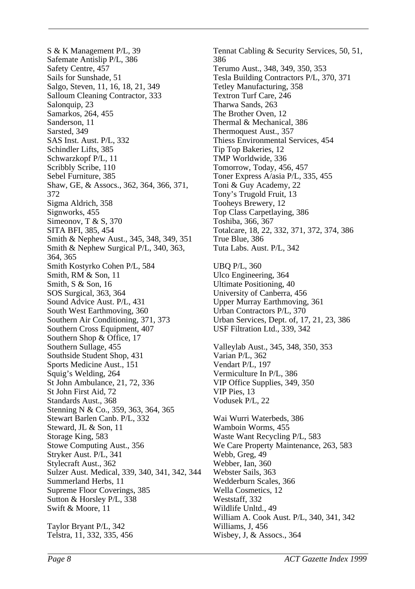S & K Management P/L, 39 Safemate Antislip P/L, 386 Safety Centre, 457 Sails for Sunshade, 51 Salgo, Steven, 11, 16, 18, 21, 349 Salloum Cleaning Contractor, 333 Salonquip, 23 Samarkos, 264, 455 Sanderson, 11 Sarsted, 349 SAS Inst. Aust. P/L, 332 Schindler Lifts, 385 Schwarzkopf P/L, 11 Scribbly Scribe, 110 Sebel Furniture, 385 Shaw, GE, & Assocs., 362, 364, 366, 371, 372 Sigma Aldrich, 358 Signworks, 455 Simeonov, T & S, 370 SITA BFI, 385, 454 Smith & Nephew Aust., 345, 348, 349, 351 Smith & Nephew Surgical P/L, 340, 363, 364, 365 Smith Kostyrko Cohen P/L, 584 Smith, RM & Son, 11 Smith, S & Son, 16 SOS Surgical, 363, 364 Sound Advice Aust. P/L, 431 South West Earthmoving, 360 Southern Air Conditioning, 371, 373 Southern Cross Equipment, 407 Southern Shop & Office, 17 Southern Sullage, 455 Southside Student Shop, 431 Sports Medicine Aust., 151 Squig's Welding, 264 St John Ambulance, 21, 72, 336 St John First Aid, 72 Standards Aust., 368 Stenning N & Co., 359, 363, 364, 365 Stewart Barlen Canb. P/L, 332 Steward, JL & Son, 11 Storage King, 583 Stowe Computing Aust., 356 Stryker Aust. P/L, 341 Stylecraft Aust., 362 Sulzer Aust. Medical, 339, 340, 341, 342, 344 Summerland Herbs, 11 Supreme Floor Coverings, 385 Sutton & Horsley P/L, 338 Swift & Moore, 11 Taylor Bryant P/L, 342 Telstra, 11, 332, 335, 456

Tennat Cabling & Security Services, 50, 51, 386 Terumo Aust., 348, 349, 350, 353 Tesla Building Contractors P/L, 370, 371 Tetley Manufacturing, 358 Textron Turf Care, 246 Tharwa Sands, 263 The Brother Oven, 12 Thermal & Mechanical, 386 Thermoquest Aust., 357 Thiess Environmental Services, 454 Tip Top Bakeries, 12 TMP Worldwide, 336 Tomorrow, Today, 456, 457 Toner Express A/asia P/L, 335, 455 Toni & Guy Academy, 22 Tony's Trugold Fruit, 13 Tooheys Brewery, 12 Top Class Carpetlaying, 386 Toshiba, 366, 367 Totalcare, 18, 22, 332, 371, 372, 374, 386 True Blue, 386 Tuta Labs. Aust. P/L, 342

UBQ P/L, 360 Ulco Engineering, 364 Ultimate Positioning, 40 University of Canberra, 456 Upper Murray Earthmoving, 361 Urban Contractors P/L, 370 Urban Services, Dept. of, 17, 21, 23, 386 USF Filtration Ltd., 339, 342

Valleylab Aust., 345, 348, 350, 353 Varian P/L, 362 Vendart P/L, 197 Vermiculture In P/L, 386 VIP Office Supplies, 349, 350 VIP Pies, 13 Vodusek P/L, 22

Wai Wurri Waterbeds, 386 Wamboin Worms, 455 Waste Want Recycling P/L, 583 We Care Property Maintenance, 263, 583 Webb, Greg, 49 Webber, Ian, 360 Webster Sails, 363 Wedderburn Scales, 366 Wella Cosmetics, 12 Weststaff, 332 Wildlife Unltd., 49 William A. Cook Aust. P/L, 340, 341, 342 Williams, J, 456 Wisbey, J, & Assocs., 364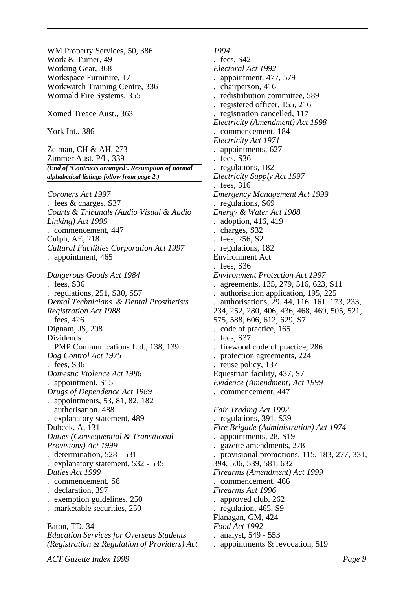WM Property Services, 50, 386 Work & Turner, 49 Working Gear, 368 Workspace Furniture, 17 Workwatch Training Centre, 336 Wormald Fire Systems, 355 Xomed Treace Aust., 363 York Int., 386 Zelman, CH & AH, 273 Zimmer Aust. P/L, 339 *(End of 'Contracts arranged'. Resumption of normal alphabetical listings follow from page 2.) Coroners Act 1997* . fees & charges, S37 *Courts & Tribunals (Audio Visual & Audio Linking) Act 1999* . commencement, 447 Culph, AE, 218 *Cultural Facilities Corporation Act 1997* . appointment, 465 *Dangerous Goods Act 1984* . fees, S36 . regulations, 251, S30, S57 *Dental Technicians & Dental Prosthetists Registration Act 1988* . fees, 426 Dignam, JS, 208 Dividends . PMP Communications Ltd., 138, 139 *Dog Control Act 1975* . fees, S36 *Domestic Violence Act 1986* . appointment, S15 *Drugs of Dependence Act 1989* . appointments, 53, 81, 82, 182 . authorisation, 488 . explanatory statement, 489 Dubcek, A, 131 *Duties (Consequential & Transitional Provisions) Act 1999* . determination, 528 - 531 . explanatory statement, 532 - 535 *Duties Act 1999* . commencement, S8 . declaration, 397 . exemption guidelines, 250 . marketable securities, 250 Eaton, TD, 34 *Education Services for Overseas Students (Registration & Regulation of Providers) Act*

*1994* . fees, S42 *Electoral Act 1992* . appointment, 477, 579 . chairperson, 416 . redistribution committee, 589 . registered officer, 155, 216 . registration cancelled, 117 *Electricity (Amendment) Act 1998* . commencement, 184 *Electricity Act 1971* . appointments, 627 . fees, S36 . regulations, 182 *Electricity Supply Act 1997* . fees, 316 *Emergency Management Act 1999* regulations, S69 *Energy & Water Act 1988* . adoption, 416, 419 . charges, S32 . fees, 256, S2 . regulations, 182 Environment Act fees, S36 *Environment Protection Act 1997* . agreements, 135, 279, 516, 623, S11 . authorisation application, 195, 225 . authorisations, 29, 44, 116, 161, 173, 233, 234, 252, 280, 406, 436, 468, 469, 505, 521, 575, 588, 606, 612, 629, S7 . code of practice, 165 . fees, S37 . firewood code of practice, 286 . protection agreements, 224 . reuse policy, 137 Equestrian facility, 437, S7 *Evidence (Amendment) Act 1999* . commencement, 447 *Fair Trading Act 1992* . regulations, 391, S39 *Fire Brigade (Administration) Act 1974* . appointments, 28, S19 . gazette amendments, 278 . provisional promotions, 115, 183, 277, 331, 394, 506, 539, 581, 632 *Firearms (Amendment) Act 1999* . commencement, 466 *Firearms Act 1996* . approved club, 262 . regulation, 465, S9 Flanagan, GM, 424 *Food Act 1992* . analyst, 549 - 553 . appointments & revocation, 519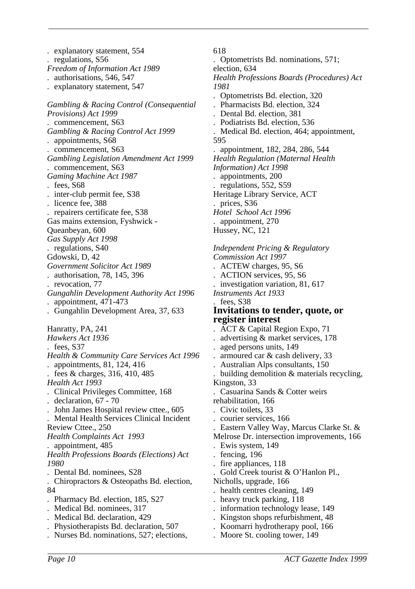. explanatory statement, 554 . regulations, S56 *Freedom of Information Act 1989* . authorisations, 546, 547 . explanatory statement, 547 *Gambling & Racing Control (Consequential Provisions) Act 1999* . commencement, S63 *Gambling & Racing Control Act 1999* . appointments, S68 . commencement, S63 *Gambling Legislation Amendment Act 1999* . commencement, S63 *Gaming Machine Act 1987* . fees, S68 . inter-club permit fee, S38 . licence fee, 388 . repairers certificate fee, S38 Gas mains extension, Fyshwick - Queanbeyan, 600 *Gas Supply Act 1998* . regulations, S40 Gdowski, D, 42 *Government Solicitor Act 1989* . authorisation, 78, 145, 396 . revocation, 77 *Gungahlin Development Authority Act 1996* . appointment, 471-473 . Gungahlin Development Area, 37, 633 Hanratty, PA, 241 *Hawkers Act 1936* . fees, S37 *Health & Community Care Services Act 1996* . appointments, 81, 124, 416 . fees & charges, 316, 410, 485 *Health Act 1993* . Clinical Privileges Committee, 168 . declaration, 67 - 70 . John James Hospital review cttee., 605 . Mental Health Services Clinical Incident Review Cttee., 250 *Health Complaints Act 1993* . appointment, 485 *Health Professions Boards (Elections) Act 1980* . Dental Bd. nominees, S28 . Chiropractors & Osteopaths Bd. election, 84 . Pharmacy Bd. election, 185, S27 . Medical Bd. nominees, 317 . Medical Bd. declaration, 429 . Physiotherapists Bd. declaration, 507 . Nurses Bd. nominations, 527; elections,

618 . Optometrists Bd. nominations, 571; election, 634 *Health Professions Boards (Procedures) Act 1981* . Optometrists Bd. election, 320 . Pharmacists Bd. election, 324 . Dental Bd. election, 381 . Podiatrists Bd. election, 536 . Medical Bd. election, 464; appointment, 595 . appointment, 182, 284, 286, 544 *Health Regulation (Maternal Health Information) Act 1998* . appointments, 200 . regulations, 552, S59 Heritage Library Service, ACT prices, S36 *Hotel School Act 1996*

*Independent Pricing & Regulatory Commission Act 1997* . ACTEW charges, 95, S6 . ACTION services, 95, S6 . investigation variation, 81, 617 *Instruments Act 1933* fees, S<sub>38</sub> **Invitations to tender, quote, or register interest** . ACT & Capital Region Expo, 71 . advertising & market services, 178

. aged persons units, 149

. appointment, 270 Hussey, NC, 121

- . armoured car & cash delivery, 33
- . Australian Alps consultants, 150
- . building demolition & materials recycling, Kingston, 33
- . Casuarina Sands & Cotter weirs
- rehabilitation, 166
- . Civic toilets, 33
- . courier services, 166
- . Eastern Valley Way, Marcus Clarke St. &
- Melrose Dr. intersection improvements, 166
- . Ewis system, 149
- fencing, 196
- fire appliances, 118
- . Gold Creek tourist & O'Hanlon Pl.,

Nicholls, upgrade, 166

- health centres cleaning, 149
- . heavy truck parking, 118
- . information technology lease, 149
- . Kingston shops refurbishment, 48
- . Koomarri hydrotherapy pool, 166
- . Moore St. cooling tower, 149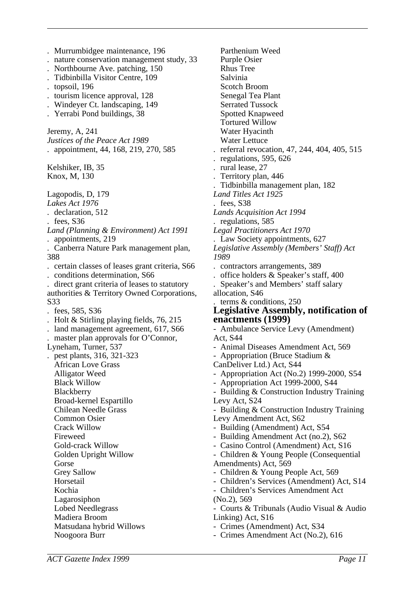. Murrumbidgee maintenance, 196 . nature conservation management study, 33 . Northbourne Ave. patching, 150 . Tidbinbilla Visitor Centre, 109 . topsoil, 196 . tourism licence approval, 128 . Windeyer Ct. landscaping, 149 . Yerrabi Pond buildings, 38 Jeremy, A, 241 *Justices of the Peace Act 1989* . appointment, 44, 168, 219, 270, 585 Kelshiker, IB, 35 Knox, M, 130 Lagopodis, D, 179 *Lakes Act 1976* . declaration, 512 . fees, S36 *Land (Planning & Environment) Act 1991* . appointments, 219 . Canberra Nature Park management plan, 388 . certain classes of leases grant criteria, S66 . conditions determination, S66 . direct grant criteria of leases to statutory authorities & Territory Owned Corporations, S33 . fees, 585, S36 . Holt & Stirling playing fields, 76, 215 . land management agreement, 617, S66 master plan approvals for O'Connor, Lyneham, Turner, 537 . pest plants, 316, 321-323 African Love Grass Alligator Weed Black Willow Blackberry Broad-kernel Espartillo Chilean Needle Grass Common Osier Crack Willow Fireweed Gold-crack Willow Golden Upright Willow Gorse Grey Sallow **Horsetail** Kochia Lagarosiphon Lobed Needlegrass Madiera Broom Matsudana hybrid Willows Noogoora Burr

Parthenium Weed Purple Osier Rhus Tree Salvinia Scotch Broom Senegal Tea Plant Serrated Tussock Spotted Knapweed Tortured Willow Water Hyacinth Water Lettuce . referral revocation, 47, 244, 404, 405, 515 . regulations, 595, 626 . rural lease, 27 . Territory plan, 446 . Tidbinbilla management plan, 182 *Land Titles Act 1925* fees, S38 *Lands Acquisition Act 1994* . regulations, 585 *Legal Practitioners Act 1970* . Law Society appointments, 627 *Legislative Assembly (Members' Staff) Act 1989* . contractors arrangements, 389 . office holders & Speaker's staff, 400 . Speaker's and Members' staff salary allocation, S46 . terms & conditions, 250 **Legislative Assembly, notification of enactments (1999)** - Ambulance Service Levy (Amendment) Act, S44 - Animal Diseases Amendment Act, 569 - Appropriation (Bruce Stadium & CanDeliver Ltd.) Act, S44 - Appropriation Act (No.2) 1999-2000, S54 - Appropriation Act 1999-2000, S44 - Building & Construction Industry Training Levy Act, S24 - Building & Construction Industry Training Levy Amendment Act, S62 - Building (Amendment) Act, S54 - Building Amendment Act (no.2), S62 - Casino Control (Amendment) Act, S16 - Children & Young People (Consequential Amendments) Act, 569 - Children & Young People Act, 569 - Children's Services (Amendment) Act, S14 - Children's Services Amendment Act (No.2), 569 - Courts & Tribunals (Audio Visual & Audio Linking) Act, S16 - Crimes (Amendment) Act, S34 - Crimes Amendment Act (No.2), 616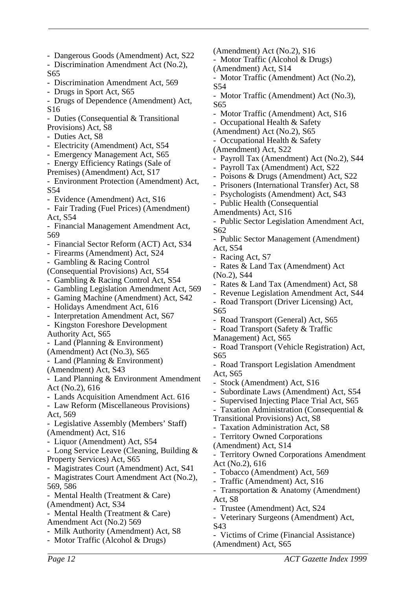- Dangerous Goods (Amendment) Act, S22 - Discrimination Amendment Act (No.2), S65 - Discrimination Amendment Act, 569 - Drugs in Sport Act, S65 - Drugs of Dependence (Amendment) Act, S16 - Duties (Consequential & Transitional Provisions) Act, S8 - Duties Act, S8 - Electricity (Amendment) Act, S54 - Emergency Management Act, S65 - Energy Efficiency Ratings (Sale of Premises) (Amendment) Act, S17 - Environment Protection (Amendment) Act, S54 - Evidence (Amendment) Act, S16 - Fair Trading (Fuel Prices) (Amendment) Act, S54 - Financial Management Amendment Act, 569 - Financial Sector Reform (ACT) Act, S34 - Firearms (Amendment) Act, S24 - Gambling & Racing Control (Consequential Provisions) Act, S54 - Gambling & Racing Control Act, S54 - Gambling Legislation Amendment Act, 569 - Gaming Machine (Amendment) Act, S42 - Holidays Amendment Act, 616 - Interpretation Amendment Act, S67 - Kingston Foreshore Development Authority Act, S65 - Land (Planning & Environment) (Amendment) Act (No.3), S65 - Land (Planning & Environment) (Amendment) Act, S43 - Land Planning & Environment Amendment Act (No.2), 616 - Lands Acquisition Amendment Act. 616 - Law Reform (Miscellaneous Provisions) Act, 569 - Legislative Assembly (Members' Staff) (Amendment) Act, S16 - Liquor (Amendment) Act, S54 - Long Service Leave (Cleaning, Building & Property Services) Act, S65 - Magistrates Court (Amendment) Act, S41 - Magistrates Court Amendment Act (No.2), 569, 586 - Mental Health (Treatment & Care) (Amendment) Act, S34 - Mental Health (Treatment & Care) Amendment Act (No.2) 569 - Milk Authority (Amendment) Act, S8 - Motor Traffic (Alcohol & Drugs)

(Amendment) Act (No.2), S16 - Motor Traffic (Alcohol & Drugs) (Amendment) Act, S14 - Motor Traffic (Amendment) Act (No.2), S54 - Motor Traffic (Amendment) Act (No.3), S65 - Motor Traffic (Amendment) Act, S16 - Occupational Health & Safety (Amendment) Act (No.2), S65 - Occupational Health & Safety (Amendment) Act, S22 Payroll Tax (Amendment) Act (No.2), S44 - Payroll Tax (Amendment) Act, S22 - Poisons & Drugs (Amendment) Act, S22 - Prisoners (International Transfer) Act, S8 - Psychologists (Amendment) Act, S43 - Public Health (Consequential Amendments) Act, S16 - Public Sector Legislation Amendment Act,  $S62$ - Public Sector Management (Amendment) Act, S54 - Racing Act, S7 - Rates & Land Tax (Amendment) Act (No.2), S44 - Rates & Land Tax (Amendment) Act, S8 - Revenue Legislation Amendment Act, S44 - Road Transport (Driver Licensing) Act, S65 Road Transport (General) Act, S65 - Road Transport (Safety & Traffic Management) Act, S65 - Road Transport (Vehicle Registration) Act, S65 - Road Transport Legislation Amendment Act, S65 Stock (Amendment) Act, S16 Subordinate Laws (Amendment) Act, S54 Supervised Injecting Place Trial Act, S65 - Taxation Administration (Consequential & Transitional Provisions) Act, S8 - Taxation Administration Act, S8 - Territory Owned Corporations (Amendment) Act, S14 Territory Owned Corporations Amendment Act (No.2), 616 - Tobacco (Amendment) Act, 569 - Traffic (Amendment) Act, S16 - Transportation & Anatomy (Amendment) Act, S8 - Trustee (Amendment) Act, S24 Veterinary Surgeons (Amendment) Act, S43

- Victims of Crime (Financial Assistance) (Amendment) Act, S65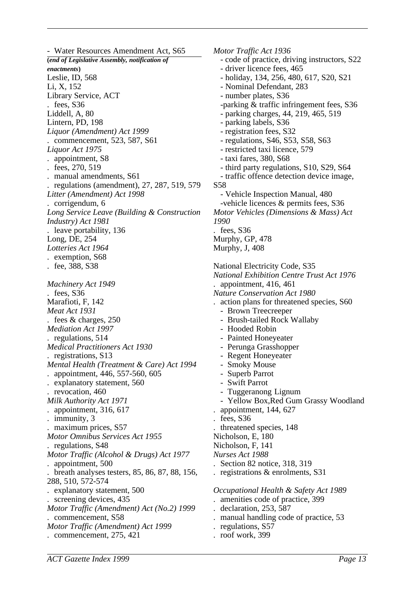- Water Resources Amendment Act, S65 **(***end of Legislative Assembly, notification of enactments***)** Leslie, ID, 568 Li, X, 152 Library Service, ACT . fees, S36 Liddell, A, 80 Lintern, PD, 198 *Liquor (Amendment) Act 1999* . commencement, 523, 587, S61 *Liquor Act 1975* . appointment, S8 . fees, 270, 519 . manual amendments, S61 . regulations (amendment), 27, 287, 519, 579 *Litter (Amendment) Act 1998* . corrigendum, 6 *Long Service Leave (Building & Construction Industry) Act 1981* leave portability, 136 Long, DE, 254 *Lotteries Act 1964* . exemption, S68 . fee, 388, S38 *Machinery Act 1949* . fees, S36 Marafioti, F, 142 *Meat Act 1931* . fees & charges, 250 *Mediation Act 1997* . regulations, 514 *Medical Practitioners Act 1930* . registrations, S13 *Mental Health (Treatment & Care) Act 1994* . appointment, 446, 557-560, 605 explanatory statement, 560 revocation, 460 *Milk Authority Act 1971* . appointment, 316, 617 . immunity, 3 . maximum prices, S57 *Motor Omnibus Services Act 1955* . regulations, S48 *Motor Traffic (Alcohol & Drugs) Act 1977* . appointment, 500 . breath analyses testers, 85, 86, 87, 88, 156, 288, 510, 572-574 . explanatory statement, 500 . screening devices, 435 *Motor Traffic (Amendment) Act (No.2) 1999* . commencement, S58 *Motor Traffic (Amendment) Act 1999* . commencement, 275, 421

*Motor Traffic Act 1936* - code of practice, driving instructors, S22 - driver licence fees, 465 - holiday, 134, 256, 480, 617, S20, S21 - Nominal Defendant, 283 - number plates, S36 -parking & traffic infringement fees, S36 - parking charges, 44, 219, 465, 519 - parking labels, S36 - registration fees, S32 - regulations, S46, S53, S58, S63 - restricted taxi licence, 579 - taxi fares, 380, S68 - third party regulations, S10, S29, S64 - traffic offence detection device image, S58 - Vehicle Inspection Manual, 480 -vehicle licences & permits fees, S36 *Motor Vehicles (Dimensions & Mass) Act 1990* fees, S36 Murphy, GP, 478 Murphy, J, 408 National Electricity Code, S35 *National Exhibition Centre Trust Act 1976* . appointment, 416, 461 *Nature Conservation Act 1980* . action plans for threatened species, S60 - Brown Treecreeper - Brush-tailed Rock Wallaby Hooded Robin Painted Honeyeater - Perunga Grasshopper Regent Honeyeater - Smoky Mouse - Superb Parrot Swift Parrot - Tuggeranong Lignum - Yellow Box,Red Gum Grassy Woodland . appointment, 144, 627 fees, S36 . threatened species, 148 Nicholson, E, 180 Nicholson, F, 141 *Nurses Act 1988* . Section 82 notice, 318, 319 . registrations & enrolments, S31 *Occupational Health & Safety Act 1989* . amenities code of practice, 399 declaration, 253, 587 manual handling code of practice, 53 . regulations, S57 . roof work, 399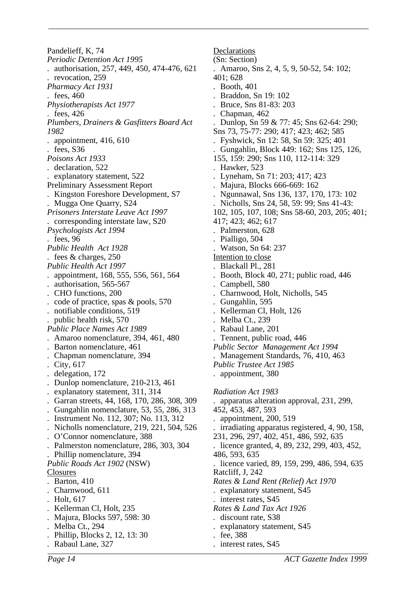Pandelieff, K, 74 *Periodic Detention Act 1995* . authorisation, 257, 449, 450, 474-476, 621 . revocation, 259 *Pharmacy Act 1931* . fees, 460 *Physiotherapists Act 1977* . fees, 426 *Plumbers, Drainers & Gasfitters Board Act 1982* . appointment, 416, 610 . fees, S36 *Poisons Act 1933* . declaration, 522 . explanatory statement, 522 Preliminary Assessment Report . Kingston Foreshore Development, S7 . Mugga One Quarry, S24 *Prisoners Interstate Leave Act 1997* . corresponding interstate law, S20 *Psychologists Act 1994* . fees, 96 *Public Health Act 1928* . fees & charges, 250 *Public Health Act 1997* . appointment, 168, 555, 556, 561, 564 . authorisation, 565-567 . CHO functions, 200 . code of practice, spas & pools, 570 . notifiable conditions, 519 public health risk, 570 *Public Place Names Act 1989* . Amaroo nomenclature, 394, 461, 480 . Barton nomenclature, 461 . Chapman nomenclature, 394 . City, 617 . delegation, 172 . Dunlop nomenclature, 210-213, 461 . explanatory statement, 311, 314 . Garran streets, 44, 168, 170, 286, 308, 309 . Gungahlin nomenclature, 53, 55, 286, 313 . Instrument No. 112, 307; No. 113, 312 . Nicholls nomenclature, 219, 221, 504, 526 . O'Connor nomenclature, 388 . Palmerston nomenclature, 286, 303, 304 . Phillip nomenclature, 394 *Public Roads Act 1902* (NSW) Closures . Barton, 410 . Charnwood, 611 . Holt, 617 . Kellerman Cl, Holt, 235 . Majura, Blocks 597, 598: 30 Melba Ct., 294 . Phillip, Blocks 2, 12, 13: 30 . Rabaul Lane, 327

Declarations (Sn: Section) . Amaroo, Sns 2, 4, 5, 9, 50-52, 54: 102; 401; 628 . Booth, 401 . Braddon, Sn 19: 102 . Bruce, Sns 81-83: 203 . Chapman, 462 . Dunlop, Sn 59 & 77: 45; Sns 62-64: 290; Sns 73, 75-77: 290; 417; 423; 462; 585 . Fyshwick, Sn 12: 58, Sn 59: 325; 401 . Gungahlin, Block 449: 162; Sns 125, 126, 155, 159: 290; Sns 110, 112-114: 329 . Hawker, 523 . Lyneham, Sn 71: 203; 417; 423 . Majura, Blocks 666-669: 162 . Ngunnawal, Sns 136, 137, 170, 173: 102 . Nicholls, Sns 24, 58, 59: 99; Sns 41-43: 102, 105, 107, 108; Sns 58-60, 203, 205; 401; 417; 423; 462; 617 . Palmerston, 628 . Pialligo, 504 . Watson, Sn 64: 237 Intention to close . Blackall Pl., 281 . Booth, Block 40, 271; public road, 446 Campbell, 580 . Charnwood, Holt, Nicholls, 545 . Gungahlin, 595 . Kellerman Cl, Holt, 126 Melba Ct., 239 . Rabaul Lane, 201 . Tennent, public road, 446 *Public Sector Management Act 1994* . Management Standards, 76, 410, 463 *Public Trustee Act 1985* . appointment, 380 *Radiation Act 1983* . apparatus alteration approval, 231, 299, 452, 453, 487, 593 . appointment, 200, 519 . irradiating apparatus registered, 4, 90, 158, 231, 296, 297, 402, 451, 486, 592, 635 . licence granted, 4, 89, 232, 299, 403, 452, 486, 593, 635 . licence varied, 89, 159, 299, 486, 594, 635 Ratcliff, J, 242 *Rates & Land Rent (Relief) Act 1970* . explanatory statement, S45 . interest rates, S45 *Rates & Land Tax Act 1926 .* discount rate, S38 . explanatory statement, S45 . fee, 388 . interest rates, S45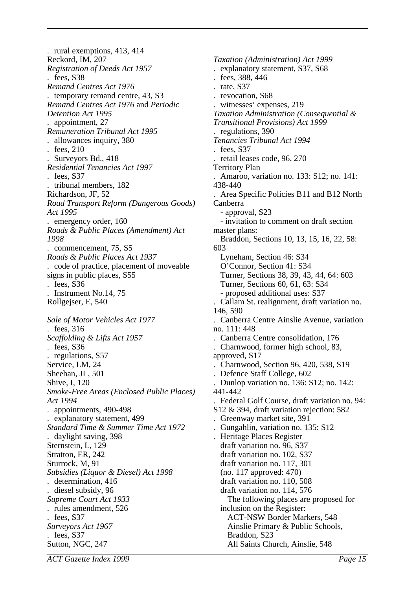. rural exemptions, 413, 414 Reckord, IM, 207 *Registration of Deeds Act 1957* . fees, S38 *Remand Centres Act 1976* . temporary remand centre, 43, S3 *Remand Centres Act 1976* and *Periodic Detention Act 1995* . appointment, 27 *Remuneration Tribunal Act 1995* . allowances inquiry, 380 . fees, 210 . Surveyors Bd., 418 *Residential Tenancies Act 1997* . fees, S37 . tribunal members, 182 Richardson, JF, 52 *Road Transport Reform (Dangerous Goods) Act 1995* . emergency order, 160 *Roads & Public Places (Amendment) Act 1998* . commencement, 75, S5 *Roads & Public Places Act 1937* . code of practice, placement of moveable signs in public places, S55 . fees, S36 . Instrument No.14, 75 Rollgejser, E, 540 *Sale of Motor Vehicles Act 1977* . fees, 316 *Scaffolding & Lifts Act 1957* . fees, S36 . regulations, S57 Service, LM, 24 Sheehan, JL, 501 Shive, I, 120 *Smoke-Free Areas (Enclosed Public Places) Act 1994* . appointments, 490-498 . explanatory statement, 499 *Standard Time & Summer Time Act 1972* . daylight saving, 398 Sternstein, L, 129 Stratton, ER, 242 Sturrock, M, 91 *Subsidies (Liquor & Diesel) Act 1998* . determination, 416 . diesel subsidy, 96 *Supreme Court Act 1933* . rules amendment, 526 fees, S37 *Surveyors Act 1967* . fees, S37 Sutton, NGC, 247

*Taxation (Administration) Act 1999* . explanatory statement, S37, S68 . fees, 388, 446 . rate, S37 . revocation, S68 witnesses' expenses, 219 *Taxation Administration (Consequential & Transitional Provisions) Act 1999* . regulations, 390 *Tenancies Tribunal Act 1994* . fees, S37 . retail leases code, 96, 270 Territory Plan . Amaroo, variation no. 133: S12; no. 141: 438-440 . Area Specific Policies B11 and B12 North Canberra - approval, S23 - invitation to comment on draft section master plans: Braddon, Sections 10, 13, 15, 16, 22, 58: 603 Lyneham, Section 46: S34 O'Connor, Section 41: S34 Turner, Sections 38, 39, 43, 44, 64: 603 Turner, Sections 60, 61, 63: S34 - proposed additional uses: S37 . Callam St. realignment, draft variation no. 146, 590 . Canberra Centre Ainslie Avenue, variation no. 111: 448 . Canberra Centre consolidation, 176 . Charnwood, former high school, 83, approved, S17 . Charnwood, Section 96, 420, 538, S19 . Defence Staff College, 602 . Dunlop variation no. 136: S12; no. 142: 441-442 . Federal Golf Course, draft variation no. 94: S12 & 394, draft variation rejection: 582 . Greenway market site, 391 . Gungahlin, variation no. 135: S12 . Heritage Places Register draft variation no. 96, S37 draft variation no. 102, S37 draft variation no. 117, 301 (no. 117 approved: 470) draft variation no. 110, 508 draft variation no. 114, 576 The following places are proposed for inclusion on the Register: ACT-NSW Border Markers, 548 Ainslie Primary & Public Schools, Braddon, S23 All Saints Church, Ainslie, 548

*ACT Gazette Index 1999 Page 15*